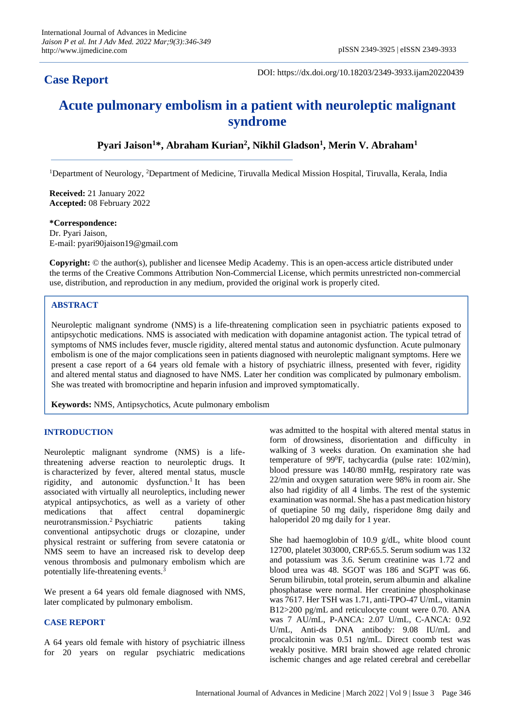# **Case Report**

DOI: https://dx.doi.org/10.18203/2349-3933.ijam20220439

# **Acute pulmonary embolism in a patient with neuroleptic malignant syndrome**

**Pyari Jaison<sup>1</sup>\*, Abraham Kurian<sup>2</sup> , Nikhil Gladson<sup>1</sup> , Merin V. Abraham<sup>1</sup>**

<sup>1</sup>Department of Neurology, <sup>2</sup>Department of Medicine, Tiruvalla Medical Mission Hospital, Tiruvalla, Kerala, India

**Received:** 21 January 2022 **Accepted:** 08 February 2022

**\*Correspondence:** Dr. Pyari Jaison, E-mail: pyari90jaison19@gmail.com

**Copyright:** © the author(s), publisher and licensee Medip Academy. This is an open-access article distributed under the terms of the Creative Commons Attribution Non-Commercial License, which permits unrestricted non-commercial use, distribution, and reproduction in any medium, provided the original work is properly cited.

# **ABSTRACT**

Neuroleptic malignant syndrome (NMS) is a life-threatening complication seen in psychiatric patients exposed to antipsychotic medications. NMS is associated with medication with dopamine antagonist action. The typical tetrad of symptoms of NMS includes fever, muscle rigidity, altered mental status and autonomic dysfunction. Acute pulmonary embolism is one of the major complications seen in patients diagnosed with neuroleptic malignant symptoms. Here we present a case report of a 64 years old female with a history of psychiatric illness, presented with fever, rigidity and altered mental status and diagnosed to have NMS. Later her condition was complicated by pulmonary embolism. She was treated with bromocriptine and heparin infusion and improved symptomatically.

**Keywords:** NMS, Antipsychotics, Acute pulmonary embolism

### **INTRODUCTION**

Neuroleptic malignant syndrome (NMS) is a lifethreatening adverse reaction to neuroleptic drugs. It is characterized by fever, altered mental status, muscle rigidity, and autonomic dysfunction.<sup>1</sup> It has been associated with virtually all neuroleptics, including newer atypical antipsychotics, as well as a variety of other medications that affect central dopaminergic neurotransmission.<sup>2</sup> Psychiatric patients taking conventional antipsychotic drugs or clozapine, under physical restraint or suffering from severe catatonia or NMS seem to have an increased risk to develop deep venous thrombosis and pulmonary embolism which are potentially life-threatening events.<sup>3</sup>

We present a 64 years old female diagnosed with NMS. later complicated by pulmonary embolism.

#### **CASE REPORT**

A 64 years old female with history of psychiatric illness for 20 years on regular psychiatric medications was admitted to the hospital with altered mental status in form of drowsiness, disorientation and difficulty in walking of 3 weeks duration. On examination she had temperature of 99<sup>0</sup>F, tachycardia (pulse rate: 102/min), blood pressure was 140/80 mmHg, respiratory rate was 22/min and oxygen saturation were 98% in room air. She also had rigidity of all 4 limbs. The rest of the systemic examination was normal. She has a past medication history of quetiapine 50 mg daily, risperidone 8mg daily and haloperidol 20 mg daily for 1 year.

She had haemoglobin of 10.9 g/dL, white blood count 12700, platelet 303000, CRP:65.5. Serum sodium was 132 and potassium was 3.6. Serum creatinine was 1.72 and blood urea was 48. SGOT was 186 and SGPT was 66. Serum bilirubin, total protein, serum albumin and alkaline phosphatase were normal. Her creatinine phosphokinase was 7617. Her TSH was 1.71, anti-TPO-47 U/mL, vitamin B12>200 pg/mL and reticulocyte count were 0.70. ANA was 7 AU/mL, P-ANCA: 2.07 U/mL, C-ANCA: 0.92 U/mL, Anti-ds DNA antibody: 9.08 IU/mL and procalcitonin was 0.51 ng/mL. Direct coomb test was weakly positive. MRI brain showed age related chronic ischemic changes and age related cerebral and cerebellar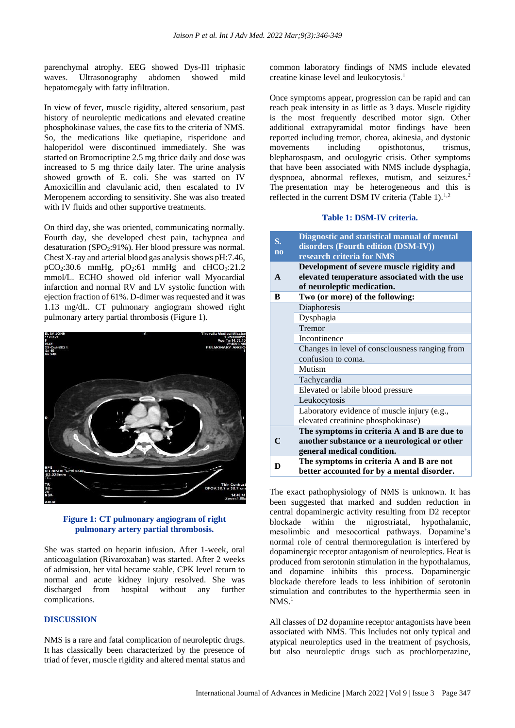parenchymal atrophy. EEG showed Dys-III triphasic waves. Ultrasonography abdomen showed mild hepatomegaly with fatty infiltration.

In view of fever, muscle rigidity, altered sensorium, past history of neuroleptic medications and elevated creatine phosphokinase values, the case fits to the criteria of NMS. So, the medications like quetiapine, risperidone and haloperidol were discontinued immediately. She was started on Bromocriptine 2.5 mg thrice daily and dose was increased to 5 mg thrice daily later. The urine analysis showed growth of E. coli. She was started on IV Amoxicillin and clavulanic acid, then escalated to IV Meropenem according to sensitivity. She was also treated with IV fluids and other supportive treatments.

On third day, she was oriented, communicating normally. Fourth day, she developed chest pain, tachypnea and desaturation (SPO $_2$ :91%). Her blood pressure was normal. Chest X-ray and arterial blood gas analysis shows pH:7.46,  $pCO<sub>2</sub>:30.6$  mmHg,  $pO<sub>2</sub>:61$  mmHg and  $cHCO<sub>3</sub>:21.2$ mmol/L. ECHO showed old inferior wall Myocardial infarction and normal RV and LV systolic function with ejection fraction of 61%. D-dimer was requested and it was 1.13 mg/dL. CT pulmonary angiogram showed right pulmonary artery partial thrombosis (Figure 1).



#### **Figure 1: CT pulmonary angiogram of right pulmonary artery partial thrombosis.**

She was started on heparin infusion. After 1-week, oral anticoagulation (Rivaroxaban) was started. After 2 weeks of admission, her vital became stable, CPK level return to normal and acute kidney injury resolved. She was discharged from hospital without any further complications.

# **DISCUSSION**

NMS is a rare and fatal complication of neuroleptic drugs. It has classically been characterized by the presence of triad of fever, muscle rigidity and altered mental status and common laboratory findings of NMS include elevated creatine kinase level and leukocytosis.<sup>1</sup>

Once symptoms appear, progression can be rapid and can reach peak intensity in as little as 3 days. Muscle rigidity is the most frequently described motor sign. Other additional extrapyramidal motor findings have been reported including tremor, chorea, akinesia, and dystonic movements including opisthotonus, trismus, blepharospasm, and oculogyric crisis. Other symptoms that have been associated with NMS include dysphagia, dyspnoea, abnormal reflexes, mutism, and seizures.<sup>2</sup> The presentation may be heterogeneous and this is reflected in the current DSM IV criteria (Table 1). $^{1,2}$ 

#### **Table 1: DSM-IV criteria.**

| S.<br>$\overline{no}$ | Diagnostic and statistical manual of mental<br>disorders (Fourth edition (DSM-IV))<br>research criteria for NMS           |
|-----------------------|---------------------------------------------------------------------------------------------------------------------------|
| $\mathbf{A}$          | Development of severe muscle rigidity and<br>elevated temperature associated with the use<br>of neuroleptic medication.   |
| R                     | Two (or more) of the following:                                                                                           |
|                       | Diaphoresis                                                                                                               |
|                       | Dysphagia                                                                                                                 |
|                       | Tremor                                                                                                                    |
|                       | Incontinence                                                                                                              |
|                       | Changes in level of consciousness ranging from<br>confusion to coma.                                                      |
|                       | Mutism                                                                                                                    |
|                       | Tachycardia                                                                                                               |
|                       | Elevated or labile blood pressure                                                                                         |
|                       | Leukocytosis                                                                                                              |
|                       | Laboratory evidence of muscle injury (e.g.,<br>elevated creatinine phosphokinase)                                         |
| $\mathsf{C}$          | The symptoms in criteria A and B are due to<br>another substance or a neurological or other<br>general medical condition. |
| D                     | The symptoms in criteria A and B are not<br>better accounted for by a mental disorder.                                    |

The exact pathophysiology of NMS is unknown. It has been suggested that marked and sudden reduction in central dopaminergic activity resulting from D2 receptor blockade within the nigrostriatal, hypothalamic, mesolimbic and mesocortical pathways. Dopamine's normal role of central thermoregulation is interfered by dopaminergic receptor antagonism of neuroleptics. Heat is produced from serotonin stimulation in the hypothalamus, and dopamine inhibits this process. Dopaminergic blockade therefore leads to less inhibition of serotonin stimulation and contributes to the hyperthermia seen in  $NMS.<sup>1</sup>$ 

All classes of D2 dopamine receptor antagonists have been associated with NMS. This Includes not only typical and atypical neuroleptics used in the treatment of psychosis, but also neuroleptic drugs such as prochlorperazine,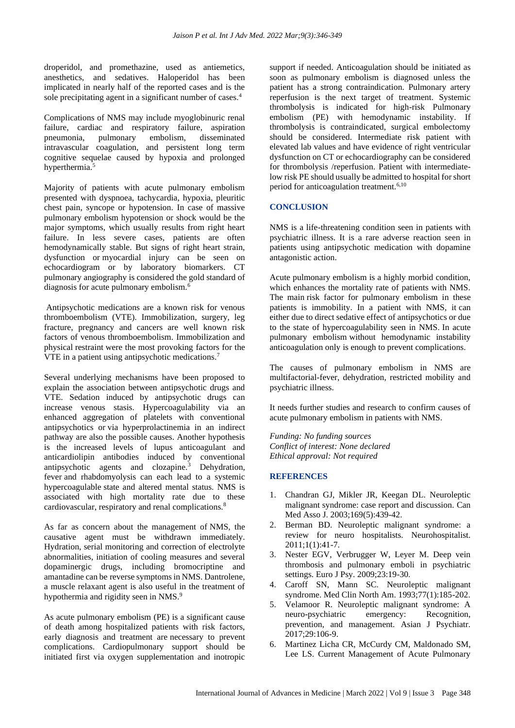droperidol, and promethazine, used as antiemetics, anesthetics, and sedatives. Haloperidol has been implicated in nearly half of the reported cases and is the sole precipitating agent in a significant number of cases.<sup>4</sup>

Complications of NMS may include myoglobinuric renal failure, cardiac and respiratory failure, aspiration pneumonia, pulmonary embolism, disseminated intravascular coagulation, and persistent long term cognitive sequelae caused by hypoxia and prolonged hyperthermia.<sup>5</sup>

Majority of patients with acute pulmonary embolism presented with dyspnoea, tachycardia, hypoxia, pleuritic chest pain, syncope or hypotension. In case of massive pulmonary embolism hypotension or shock would be the major symptoms, which usually results from right heart failure. In less severe cases, patients are often hemodynamically stable. But signs of right heart strain, dysfunction or myocardial injury can be seen on echocardiogram or by laboratory biomarkers. CT pulmonary angiography is considered the gold standard of diagnosis for acute pulmonary embolism.<sup>6</sup>

Antipsychotic medications are a known risk for venous thromboembolism (VTE). Immobilization, surgery, leg fracture, pregnancy and cancers are well known risk factors of venous thromboembolism. Immobilization and physical restraint were the most provoking factors for the VTE in a patient using antipsychotic medications.<sup>7</sup>

Several underlying mechanisms have been proposed to explain the association between antipsychotic drugs and VTE. Sedation induced by antipsychotic drugs can increase venous stasis. Hypercoagulability via an enhanced aggregation of platelets with conventional antipsychotics or via hyperprolactinemia in an indirect pathway are also the possible causes. Another hypothesis is the increased levels of lupus anticoagulant and anticardiolipin antibodies induced by conventional antipsychotic agents and clozapine.<sup>3</sup> Dehydration, fever and rhabdomyolysis can each lead to a systemic hypercoagulable state and altered mental status. NMS is associated with high mortality rate due to these cardiovascular, respiratory and renal complications.<sup>8</sup>

As far as concern about the management of NMS, the causative agent must be withdrawn immediately. Hydration, serial monitoring and correction of electrolyte abnormalities, initiation of cooling measures and several dopaminergic drugs, including bromocriptine and amantadine can be reverse symptoms in NMS. Dantrolene, a muscle relaxant agent is also useful in the treatment of hypothermia and rigidity seen in NMS.<sup>9</sup>

As acute pulmonary embolism (PE) is a significant cause of death among hospitalized patients with risk factors, early diagnosis and treatment are necessary to prevent complications. Cardiopulmonary support should be initiated first via oxygen supplementation and inotropic support if needed. Anticoagulation should be initiated as soon as pulmonary embolism is diagnosed unless the patient has a strong contraindication. Pulmonary artery reperfusion is the next target of treatment. Systemic thrombolysis is indicated for high-risk Pulmonary embolism (PE) with hemodynamic instability. If thrombolysis is contraindicated, surgical embolectomy should be considered. Intermediate risk patient with elevated lab values and have evidence of right ventricular dysfunction on CT or echocardiography can be considered for thrombolysis /reperfusion. Patient with intermediatelow risk PE should usually be admitted to hospital for short period for anticoagulation treatment.6,10

# **CONCLUSION**

NMS is a life-threatening condition seen in patients with psychiatric illness. It is a rare adverse reaction seen in patients using antipsychotic medication with dopamine antagonistic action.

Acute pulmonary embolism is a highly morbid condition, which enhances the mortality rate of patients with NMS. The main risk factor for pulmonary embolism in these patients is immobility. In a patient with NMS, it can either due to direct sedative effect of antipsychotics or due to the state of hypercoagulability seen in NMS. In acute pulmonary embolism without hemodynamic instability anticoagulation only is enough to prevent complications.

The causes of pulmonary embolism in NMS are multifactorial-fever, dehydration, restricted mobility and psychiatric illness.

It needs further studies and research to confirm causes of acute pulmonary embolism in patients with NMS.

*Funding: No funding sources Conflict of interest: None declared Ethical approval: Not required*

### **REFERENCES**

- 1. Chandran GJ, Mikler JR, Keegan DL. Neuroleptic malignant syndrome: case report and discussion. Can Med Asso J. 2003;169(5):439-42.
- 2. Berman BD. Neuroleptic malignant syndrome: a review for neuro hospitalists. Neurohospitalist. 2011;1(1):41-7.
- 3. Nester EGV, Verbrugger W, Leyer M. Deep vein thrombosis and pulmonary emboli in psychiatric settings. Euro J Psy. 2009;23:19-30.
- 4. Caroff SN, Mann SC. Neuroleptic malignant syndrome. Med Clin North Am. 1993;77(1):185-202.
- 5. Velamoor R. Neuroleptic malignant syndrome: A neuro-psychiatric emergency: Recognition, prevention, and management. Asian J Psychiatr. 2017;29:106-9.
- 6. Martinez Licha CR, McCurdy CM, Maldonado SM, Lee LS. Current Management of Acute Pulmonary